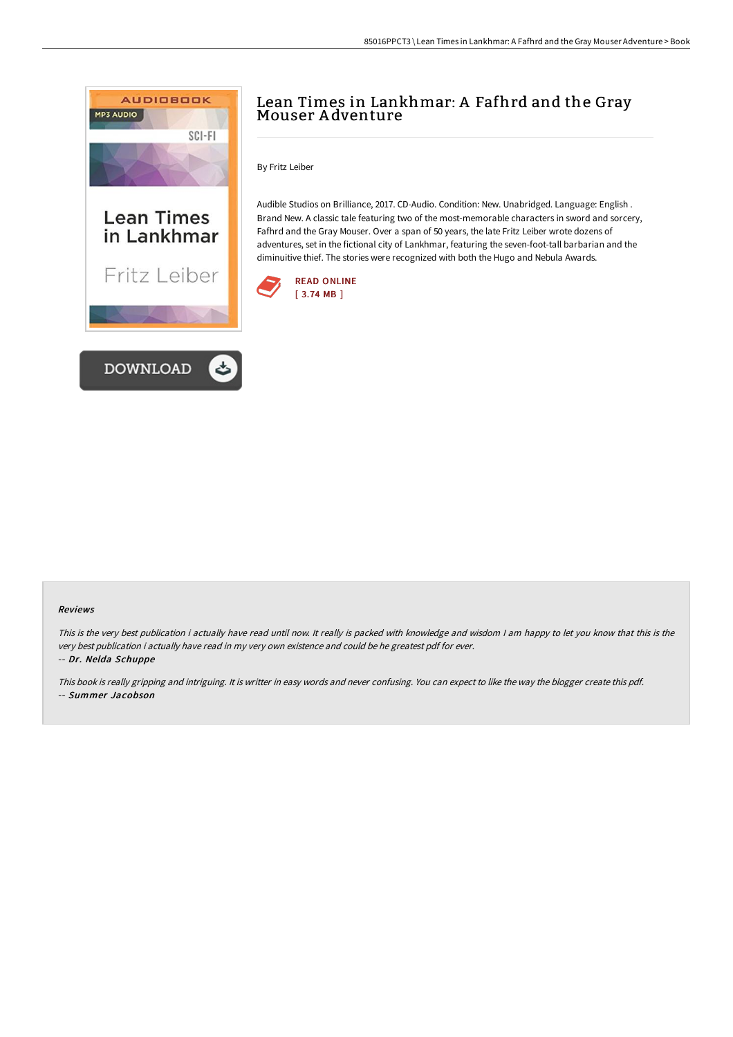

# Lean Times in Lankhmar: <sup>A</sup> Fafhrd and the Gray Mouser <sup>A</sup> dventure

By Fritz Leiber

Audible Studios on Brilliance, 2017. CD-Audio. Condition: New. Unabridged. Language: English . Brand New. A classic tale featuring two of the most-memorable characters in sword and sorcery, Fafhrd and the Gray Mouser. Over a span of 50 years, the late Fritz Leiber wrote dozens of adventures, set in the fictional city of Lankhmar, featuring the seven-foot-tall barbarian and the diminuitive thief. The stories were recognized with both the Hugo and Nebula Awards.



#### Reviews

This is the very best publication i actually have read until now. It really is packed with knowledge and wisdom I am happy to let you know that this is the very best publication i actually have read in my very own existence and could be he greatest pdf for ever.

-- Dr. Nelda Schuppe

This book is really gripping and intriguing. It is writter in easy words and never confusing. You can expect to like the way the blogger create this pdf. -- Summer Jacobson